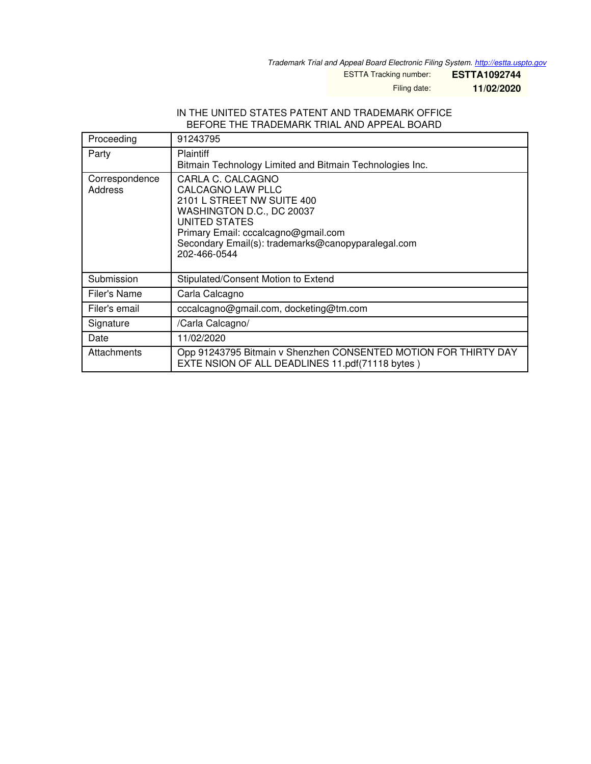*Trademark Trial and Appeal Board Electronic Filing System. <http://estta.uspto.gov>*

ESTTA Tracking number: **ESTTA1092744**

Filing date: **11/02/2020**

#### IN THE UNITED STATES PATENT AND TRADEMARK OFFICE BEFORE THE TRADEMARK TRIAL AND APPEAL BOARD

| Proceeding                | 91243795                                                                                                                                                                                                                               |
|---------------------------|----------------------------------------------------------------------------------------------------------------------------------------------------------------------------------------------------------------------------------------|
| Party                     | <b>Plaintiff</b><br>Bitmain Technology Limited and Bitmain Technologies Inc.                                                                                                                                                           |
| Correspondence<br>Address | CARLA C. CALCAGNO<br><b>CALCAGNO LAW PLLC</b><br>2101 L STREET NW SUITE 400<br>WASHINGTON D.C., DC 20037<br>UNITED STATES<br>Primary Email: cccalcagno@gmail.com<br>Secondary Email(s): trademarks@canopyparalegal.com<br>202-466-0544 |
| Submission                | Stipulated/Consent Motion to Extend                                                                                                                                                                                                    |
| Filer's Name              | Carla Calcagno                                                                                                                                                                                                                         |
| Filer's email             | cccalcagno@gmail.com, docketing@tm.com                                                                                                                                                                                                 |
| Signature                 | /Carla Calcagno/                                                                                                                                                                                                                       |
| Date                      | 11/02/2020                                                                                                                                                                                                                             |
| Attachments               | Opp 91243795 Bitmain v Shenzhen CONSENTED MOTION FOR THIRTY DAY<br>EXTE NSION OF ALL DEADLINES 11.pdf(71118 bytes)                                                                                                                     |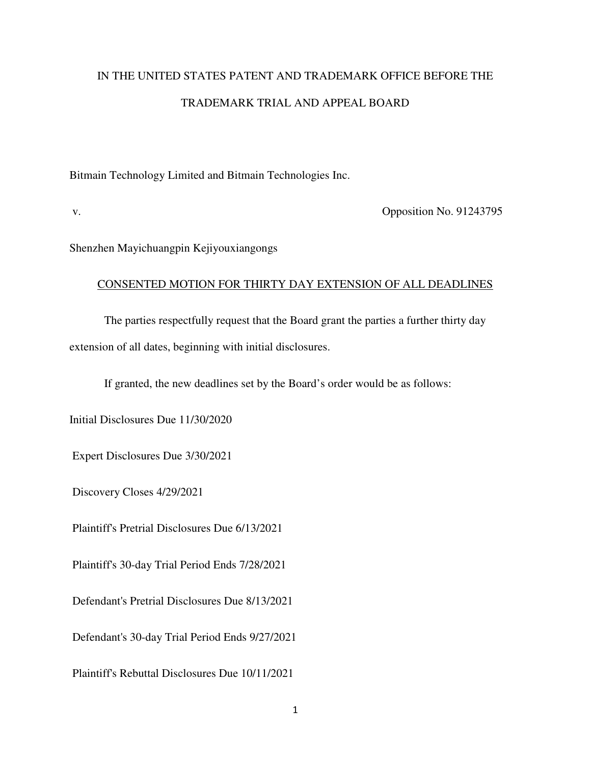# IN THE UNITED STATES PATENT AND TRADEMARK OFFICE BEFORE THE TRADEMARK TRIAL AND APPEAL BOARD

Bitmain Technology Limited and Bitmain Technologies Inc.

v. Opposition No. 91243795

Shenzhen Mayichuangpin Kejiyouxiangongs

### CONSENTED MOTION FOR THIRTY DAY EXTENSION OF ALL DEADLINES

The parties respectfully request that the Board grant the parties a further thirty day extension of all dates, beginning with initial disclosures.

If granted, the new deadlines set by the Board's order would be as follows:

Initial Disclosures Due 11/30/2020

Expert Disclosures Due 3/30/2021

Discovery Closes 4/29/2021

Plaintiff's Pretrial Disclosures Due 6/13/2021

Plaintiff's 30-day Trial Period Ends 7/28/2021

Defendant's Pretrial Disclosures Due 8/13/2021

Defendant's 30-day Trial Period Ends 9/27/2021

Plaintiff's Rebuttal Disclosures Due 10/11/2021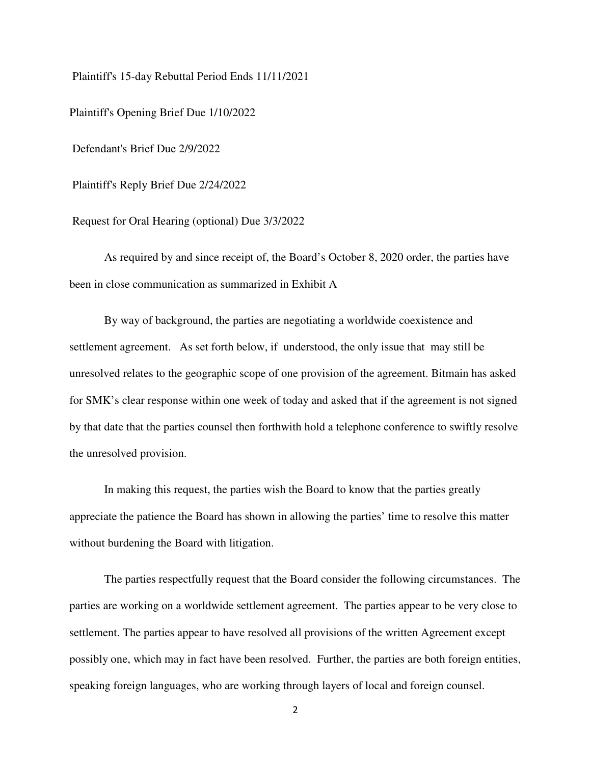Plaintiff's 15-day Rebuttal Period Ends 11/11/2021

Plaintiff's Opening Brief Due 1/10/2022

Defendant's Brief Due 2/9/2022

Plaintiff's Reply Brief Due 2/24/2022

Request for Oral Hearing (optional) Due 3/3/2022

As required by and since receipt of, the Board's October 8, 2020 order, the parties have been in close communication as summarized in Exhibit A

By way of background, the parties are negotiating a worldwide coexistence and settlement agreement. As set forth below, if understood, the only issue that may still be unresolved relates to the geographic scope of one provision of the agreement. Bitmain has asked for SMK's clear response within one week of today and asked that if the agreement is not signed by that date that the parties counsel then forthwith hold a telephone conference to swiftly resolve the unresolved provision.

In making this request, the parties wish the Board to know that the parties greatly appreciate the patience the Board has shown in allowing the parties' time to resolve this matter without burdening the Board with litigation.

The parties respectfully request that the Board consider the following circumstances. The parties are working on a worldwide settlement agreement. The parties appear to be very close to settlement. The parties appear to have resolved all provisions of the written Agreement except possibly one, which may in fact have been resolved. Further, the parties are both foreign entities, speaking foreign languages, who are working through layers of local and foreign counsel.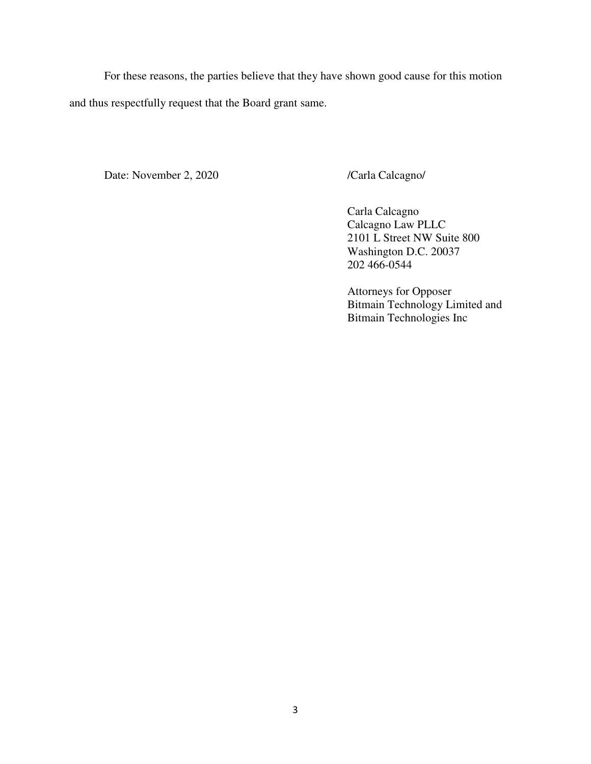For these reasons, the parties believe that they have shown good cause for this motion and thus respectfully request that the Board grant same.

Date: November 2, 2020 /Carla Calcagno/

 Carla Calcagno Calcagno Law PLLC 2101 L Street NW Suite 800 Washington D.C. 20037 202 466-0544

Attorneys for Opposer Bitmain Technology Limited and Bitmain Technologies Inc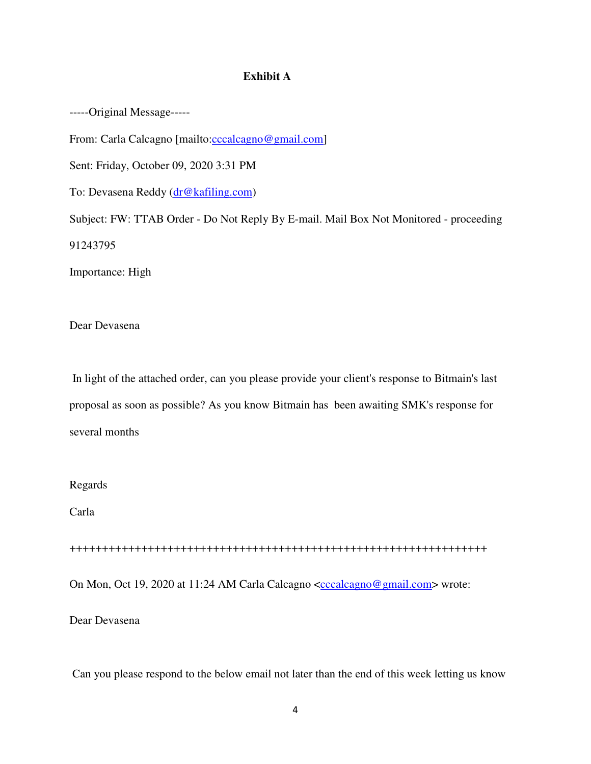#### **Exhibit A**

-----Original Message-----

From: Carla Calcagno [mailto:cccalcagno@gmail.com]

Sent: Friday, October 09, 2020 3:31 PM

To: Devasena Reddy (dr@kafiling.com)

Subject: FW: TTAB Order - Do Not Reply By E-mail. Mail Box Not Monitored - proceeding 91243795

Importance: High

Dear Devasena

 In light of the attached order, can you please provide your client's response to Bitmain's last proposal as soon as possible? As you know Bitmain has been awaiting SMK's response for several months

Regards

Carla

++++++++++++++++++++++++++++++++++++++++++++++++++++++++++++++++

On Mon, Oct 19, 2020 at 11:24 AM Carla Calcagno <cccalcagno@gmail.com> wrote:

Dear Devasena

Can you please respond to the below email not later than the end of this week letting us know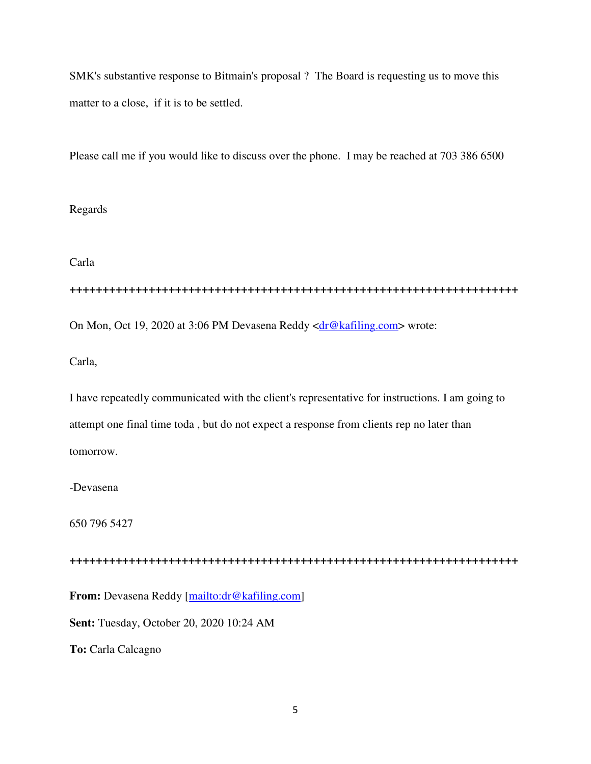SMK's substantive response to Bitmain's proposal ? The Board is requesting us to move this matter to a close, if it is to be settled.

Please call me if you would like to discuss over the phone. I may be reached at 703 386 6500

#### Regards

Carla

**++++++++++++++++++++++++++++++++++++++++++++++++++++++++++++++++++++** 

On Mon, Oct 19, 2020 at 3:06 PM Devasena Reddy <dr@kafiling.com> wrote:

Carla,

I have repeatedly communicated with the client's representative for instructions. I am going to attempt one final time toda , but do not expect a response from clients rep no later than tomorrow.

-Devasena

650 796 5427

**++++++++++++++++++++++++++++++++++++++++++++++++++++++++++++++++++++** 

From: Devasena Reddy [mailto:dr@kafiling.com]

**Sent:** Tuesday, October 20, 2020 10:24 AM

**To:** Carla Calcagno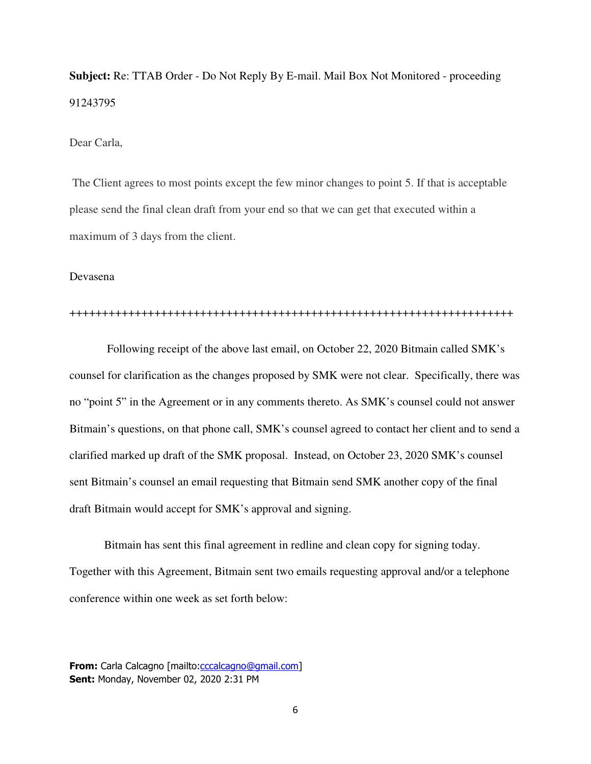**Subject:** Re: TTAB Order - Do Not Reply By E-mail. Mail Box Not Monitored - proceeding 91243795

#### Dear Carla,

 The Client agrees to most points except the few minor changes to point 5. If that is acceptable please send the final clean draft from your end so that we can get that executed within a maximum of 3 days from the client.

#### Devasena

#### ++++++++++++++++++++++++++++++++++++++++++++++++++++++++++++++++++++

 Following receipt of the above last email, on October 22, 2020 Bitmain called SMK's counsel for clarification as the changes proposed by SMK were not clear. Specifically, there was no "point 5" in the Agreement or in any comments thereto. As SMK's counsel could not answer Bitmain's questions, on that phone call, SMK's counsel agreed to contact her client and to send a clarified marked up draft of the SMK proposal. Instead, on October 23, 2020 SMK's counsel sent Bitmain's counsel an email requesting that Bitmain send SMK another copy of the final draft Bitmain would accept for SMK's approval and signing.

Bitmain has sent this final agreement in redline and clean copy for signing today. Together with this Agreement, Bitmain sent two emails requesting approval and/or a telephone conference within one week as set forth below:

**From:** Carla Calcagno [mailto:cccalcagno@gmail.com] Sent: Monday, November 02, 2020 2:31 PM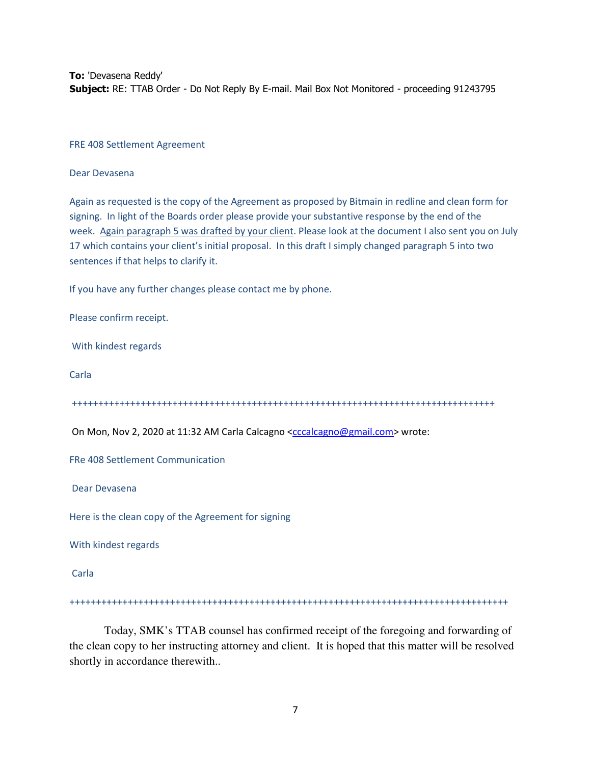To: 'Devasena Reddy' Subject: RE: TTAB Order - Do Not Reply By E-mail. Mail Box Not Monitored - proceeding 91243795

FRE 408 Settlement Agreement

Dear Devasena

Again as requested is the copy of the Agreement as proposed by Bitmain in redline and clean form for signing. In light of the Boards order please provide your substantive response by the end of the week. Again paragraph 5 was drafted by your client. Please look at the document I also sent you on July 17 which contains your client's initial proposal. In this draft I simply changed paragraph 5 into two sentences if that helps to clarify it.

If you have any further changes please contact me by phone.

Please confirm receipt.

With kindest regards

Carla

++++++++++++++++++++++++++++++++++++++++++++++++++++++++++++++++++++++++++++++++

On Mon, Nov 2, 2020 at 11:32 AM Carla Calcagno <cccalcagno@gmail.com> wrote:

FRe 408 Settlement Communication

Dear Devasena

Here is the clean copy of the Agreement for signing

With kindest regards

Carla

+++++++++++++++++++++++++++++++++++++++++++++++++++++++++++++++++++++++++++++++++++

Today, SMK's TTAB counsel has confirmed receipt of the foregoing and forwarding of the clean copy to her instructing attorney and client. It is hoped that this matter will be resolved shortly in accordance therewith..